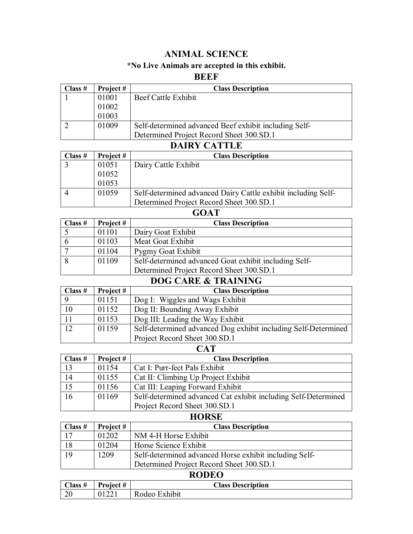#### **ANIMAL SCIENCE**

#### **\*No Live Animals are accepted in this exhibit.**

#### **BEEF**

| Class # | Project# | <b>Class Description</b>                              |
|---------|----------|-------------------------------------------------------|
|         | 01001    | Beef Cattle Exhibit                                   |
|         | 01002    |                                                       |
|         | 01003    |                                                       |
|         | 01009    | Self-determined advanced Beef exhibit including Self- |
|         |          | Determined Project Record Sheet 300.SD.1              |

| Class # | Project #                                                              | <b>Class Description</b>                 |  |
|---------|------------------------------------------------------------------------|------------------------------------------|--|
|         | 01051                                                                  | Dairy Cattle Exhibit                     |  |
|         | 01052                                                                  |                                          |  |
|         | 01053                                                                  |                                          |  |
|         | 01059<br>Self-determined advanced Dairy Cattle exhibit including Self- |                                          |  |
|         |                                                                        | Determined Project Record Sheet 300.SD.1 |  |
|         |                                                                        |                                          |  |

| $\mathbf{u}$                                                   |           |                                          |  |
|----------------------------------------------------------------|-----------|------------------------------------------|--|
| Class $#$                                                      | Project # | <b>Class Description</b>                 |  |
|                                                                | 01101     | Dairy Goat Exhibit                       |  |
|                                                                | 01103     | Meat Goat Exhibit                        |  |
|                                                                | 01104     | Pygmy Goat Exhibit                       |  |
| Self-determined advanced Goat exhibit including Self-<br>01109 |           |                                          |  |
|                                                                |           | Determined Project Record Sheet 300.SD.1 |  |
| DOC CARE & TRAINING                                            |           |                                          |  |

| DOG CARE & TRAINING |           |                                                                |
|---------------------|-----------|----------------------------------------------------------------|
| Class $#$           | Project # | <b>Class Description</b>                                       |
|                     | 01151     | Dog I: Wiggles and Wags Exhibit                                |
| 10                  | 01152     | Dog II: Bounding Away Exhibit                                  |
|                     | 01153     | Dog III: Leading the Way Exhibit                               |
| 12                  | 01159     | Self-determined advanced Dog exhibit including Self-Determined |
|                     |           | Project Record Sheet 300.SD.1                                  |

#### **CAT Class # Project # Class Description** 13 01154 Cat I: Purr-fect Pals Exhibit<br>14 01155 Cat II: Climbing Up Project Cat II: Climbing Up Project Exhibit 15 01156 Cat III: Leaping Forward Exhibit 16 01169 Self-determined advanced Cat exhibit including Self-Determined Project Record Sheet 300.SD.1

| <b>HORSE</b> |           |                                                        |
|--------------|-----------|--------------------------------------------------------|
| Class $#$    | Project # | <b>Class Description</b>                               |
| 17           | 01202     | NM 4-H Horse Exhibit                                   |
| 18           | 01204     | Horse Science Exhibit                                  |
| 19           | 1209      | Self-determined advanced Horse exhibit including Self- |
|              |           | Determined Project Record Sheet 300.SD.1               |

#### **RODEO**

| Class $#$      | Project # | <b>Class Description</b> |
|----------------|-----------|--------------------------|
| $\Omega$<br>ZU | 01221     | Rodeo Exhibit            |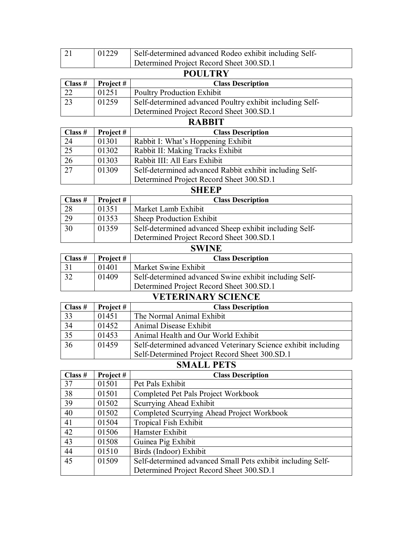|           | 01229 | Self-determined advanced Rodeo exhibit including Self- |
|-----------|-------|--------------------------------------------------------|
|           |       | Determined Project Record Sheet 300.SD.1               |
| DAIII MDV |       |                                                        |

#### **POULTRY**

| Class $#$ | Project # | <b>Class Description</b>                                 |
|-----------|-----------|----------------------------------------------------------|
|           | 01251     | <b>Poultry Production Exhibit</b>                        |
|           | 01259     | Self-determined advanced Poultry exhibit including Self- |
|           |           | Determined Project Record Sheet 300.SD.1                 |

#### **RABBIT**

| Class $#$       | Project # | <b>Class Description</b>                                |
|-----------------|-----------|---------------------------------------------------------|
| 24              | 01301     | Rabbit I: What's Hoppening Exhibit                      |
| $\overline{25}$ | 01302     | Rabbit II: Making Tracks Exhibit                        |
| $\overline{26}$ | 01303     | Rabbit III: All Ears Exhibit                            |
| $\overline{27}$ | 01309     | Self-determined advanced Rabbit exhibit including Self- |
|                 |           | Determined Project Record Sheet 300.SD.1                |

#### **SHEEP**

| Class $#$ | Project # | <b>Class Description</b>                               |
|-----------|-----------|--------------------------------------------------------|
| 28        | 01351     | Market Lamb Exhibit                                    |
| 29        | 01353     | Sheep Production Exhibit                               |
| 30        | 01359     | Self-determined advanced Sheep exhibit including Self- |
|           |           | Determined Project Record Sheet 300.SD.1               |

#### **SWINE**

| Class $#$ | Project # | <b>Class Description</b>                               |
|-----------|-----------|--------------------------------------------------------|
|           | 01401     | Market Swine Exhibit                                   |
|           | 01409     | Self-determined advanced Swine exhibit including Self- |
|           |           | Determined Project Record Sheet 300.SD.1               |

## **VETERINARY SCIENCE**

| Class $#$       | Project # | <b>Class Description</b>                                      |
|-----------------|-----------|---------------------------------------------------------------|
| 33              | 01451     | The Normal Animal Exhibit                                     |
| 34              | 01452     | Animal Disease Exhibit                                        |
| $\overline{35}$ | 01453     | Animal Health and Our World Exhibit                           |
| $\overline{36}$ | 01459     | Self-determined advanced Veterinary Science exhibit including |
|                 |           | Self-Determined Project Record Sheet 300.SD.1                 |

## **SMALL PETS**

| Class $#$ | Project# | <b>Class Description</b>                                    |
|-----------|----------|-------------------------------------------------------------|
| 37        | 01501    | Pet Pals Exhibit                                            |
| 38        | 01501    | Completed Pet Pals Project Workbook                         |
| 39        | 01502    | Scurrying Ahead Exhibit                                     |
| 40        | 01502    | Completed Scurrying Ahead Project Workbook                  |
| 41        | 01504    | <b>Tropical Fish Exhibit</b>                                |
| 42        | 01506    | Hamster Exhibit                                             |
| 43        | 01508    | Guinea Pig Exhibit                                          |
| 44        | 01510    | Birds (Indoor) Exhibit                                      |
| 45        | 01509    | Self-determined advanced Small Pets exhibit including Self- |
|           |          | Determined Project Record Sheet 300.SD.1                    |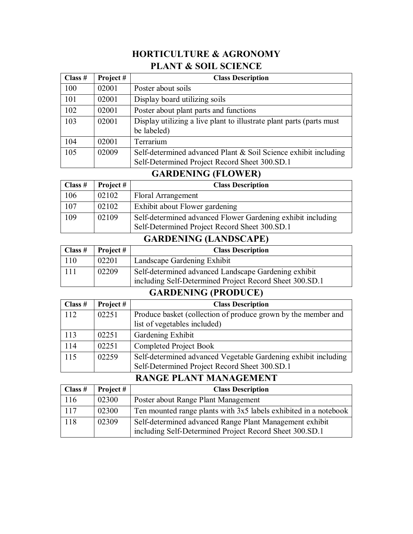## **HORTICULTURE & AGRONOMY PLANT & SOIL SCIENCE**

| Class # | Project# | <b>Class Description</b>                                                                                         |
|---------|----------|------------------------------------------------------------------------------------------------------------------|
| 100     | 02001    | Poster about soils                                                                                               |
| 101     | 02001    | Display board utilizing soils                                                                                    |
| 102     | 02001    | Poster about plant parts and functions                                                                           |
| 103     | 02001    | Display utilizing a live plant to illustrate plant parts (parts must<br>be labeled)                              |
| 104     | 02001    | Terrarium                                                                                                        |
| 105     | 02009    | Self-determined advanced Plant & Soil Science exhibit including<br>Self-Determined Project Record Sheet 300.SD.1 |

#### **GARDENING (FLOWER)**

| Class $#$ | Project # | <b>Class Description</b>                                                                                     |
|-----------|-----------|--------------------------------------------------------------------------------------------------------------|
| 106       | 02102     | <b>Floral Arrangement</b>                                                                                    |
| 107       | 02102     | Exhibit about Flower gardening                                                                               |
| 109       | 02109     | Self-determined advanced Flower Gardening exhibit including<br>Self-Determined Project Record Sheet 300.SD.1 |

## **GARDENING (LANDSCAPE)**

| $\vert$ Class # | Project # | <b>Class Description</b>                                                                                        |
|-----------------|-----------|-----------------------------------------------------------------------------------------------------------------|
| 110             | 02201     | Landscape Gardening Exhibit                                                                                     |
| 111             | 02209     | Self-determined advanced Landscape Gardening exhibit<br>including Self-Determined Project Record Sheet 300.SD.1 |

## **GARDENING (PRODUCE)**

| Class $#$ | Project# | <b>Class Description</b>                                       |
|-----------|----------|----------------------------------------------------------------|
| 112       | 02251    | Produce basket (collection of produce grown by the member and  |
|           |          | list of vegetables included)                                   |
| 113       | 02251    | Gardening Exhibit                                              |
| 114       | 02251    | <b>Completed Project Book</b>                                  |
| 115       | 02259    | Self-determined advanced Vegetable Gardening exhibit including |
|           |          | Self-Determined Project Record Sheet 300.SD.1                  |

## **RANGE PLANT MANAGEMENT**

| $\bigcap$ Class # | Project # | <b>Class Description</b>                                                                                           |
|-------------------|-----------|--------------------------------------------------------------------------------------------------------------------|
| 116               | 02300     | Poster about Range Plant Management                                                                                |
| 117               | 02300     | Ten mounted range plants with 3x5 labels exhibited in a notebook                                                   |
| 118               | 02309     | Self-determined advanced Range Plant Management exhibit<br>including Self-Determined Project Record Sheet 300.SD.1 |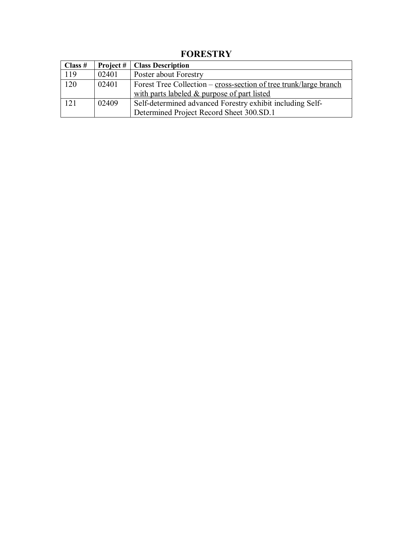| Class $#$ | Project # | <b>Class Description</b>                                          |
|-----------|-----------|-------------------------------------------------------------------|
| 119       | 02401     | Poster about Forestry                                             |
| 120       | 02401     | Forest Tree Collection – cross-section of tree trunk/large branch |
|           |           | with parts labeled & purpose of part listed                       |
| 121       | 02409     | Self-determined advanced Forestry exhibit including Self-         |
|           |           | Determined Project Record Sheet 300.SD.1                          |

**FORESTRY**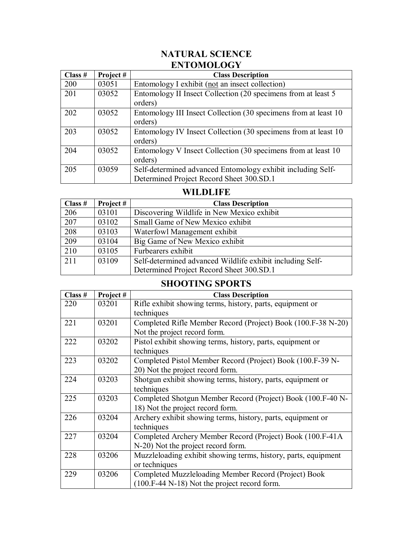## **NATURAL SCIENCE ENTOMOLOGY**

| Class # | Project# | <b>Class Description</b>                                                                                |
|---------|----------|---------------------------------------------------------------------------------------------------------|
| 200     | 03051    | Entomology I exhibit (not an insect collection)                                                         |
| 201     | 03052    | Entomology II Insect Collection (20 specimens from at least 5<br>orders)                                |
| 202     | 03052    | Entomology III Insect Collection (30 specimens from at least 10<br>orders)                              |
| 203     | 03052    | Entomology IV Insect Collection (30 specimens from at least 10<br>orders)                               |
| 204     | 03052    | Entomology V Insect Collection (30 specimens from at least 10<br>orders)                                |
| 205     | 03059    | Self-determined advanced Entomology exhibit including Self-<br>Determined Project Record Sheet 300.SD.1 |

#### **WILDLIFE**

| Class $#$ | Project # | <b>Class Description</b>                                  |
|-----------|-----------|-----------------------------------------------------------|
| 206       | 03101     | Discovering Wildlife in New Mexico exhibit                |
| 207       | 03102     | Small Game of New Mexico exhibit                          |
| 208       | 03103     | Waterfowl Management exhibit                              |
| 209       | 03104     | Big Game of New Mexico exhibit                            |
| 210       | 03105     | Furbearers exhibit                                        |
| 211       | 03109     | Self-determined advanced Wildlife exhibit including Self- |
|           |           | Determined Project Record Sheet 300.SD.1                  |

#### **SHOOTING SPORTS**

| Class # | Project# | <b>Class Description</b>                                       |
|---------|----------|----------------------------------------------------------------|
| 220     | 03201    | Rifle exhibit showing terms, history, parts, equipment or      |
|         |          | techniques                                                     |
| 221     | 03201    | Completed Rifle Member Record (Project) Book (100.F-38 N-20)   |
|         |          | Not the project record form.                                   |
| 222     | 03202    | Pistol exhibit showing terms, history, parts, equipment or     |
|         |          | techniques                                                     |
| 223     | 03202    | Completed Pistol Member Record (Project) Book (100.F-39 N-     |
|         |          | 20) Not the project record form.                               |
| 224     | 03203    | Shotgun exhibit showing terms, history, parts, equipment or    |
|         |          | techniques                                                     |
| 225     | 03203    | Completed Shotgun Member Record (Project) Book (100.F-40 N-    |
|         |          | 18) Not the project record form.                               |
| 226     | 03204    | Archery exhibit showing terms, history, parts, equipment or    |
|         |          | techniques                                                     |
| 227     | 03204    | Completed Archery Member Record (Project) Book (100.F-41A      |
|         |          | N-20) Not the project record form.                             |
| 228     | 03206    | Muzzleloading exhibit showing terms, history, parts, equipment |
|         |          | or techniques                                                  |
| 229     | 03206    | Completed Muzzleloading Member Record (Project) Book           |
|         |          | (100.F-44 N-18) Not the project record form.                   |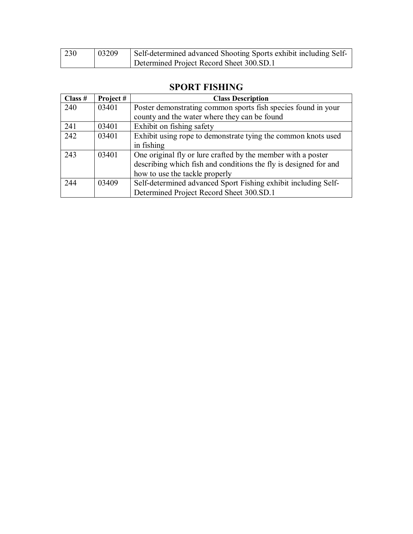| 230 | 03209 | Self-determined advanced Shooting Sports exhibit including Self- |
|-----|-------|------------------------------------------------------------------|
|     |       | Determined Project Record Sheet 300.SD.1                         |

| Class # | Project# | <b>Class Description</b>                                         |
|---------|----------|------------------------------------------------------------------|
| 240     | 03401    | Poster demonstrating common sports fish species found in your    |
|         |          | county and the water where they can be found                     |
| 241     | 03401    | Exhibit on fishing safety                                        |
| 242     | 03401    | Exhibit using rope to demonstrate tying the common knots used    |
|         |          | in fishing                                                       |
| 243     | 03401    | One original fly or lure crafted by the member with a poster     |
|         |          | describing which fish and conditions the fly is designed for and |
|         |          | how to use the tackle properly                                   |
| 244     | 03409    | Self-determined advanced Sport Fishing exhibit including Self-   |
|         |          | Determined Project Record Sheet 300.SD.1                         |

## **SPORT FISHING**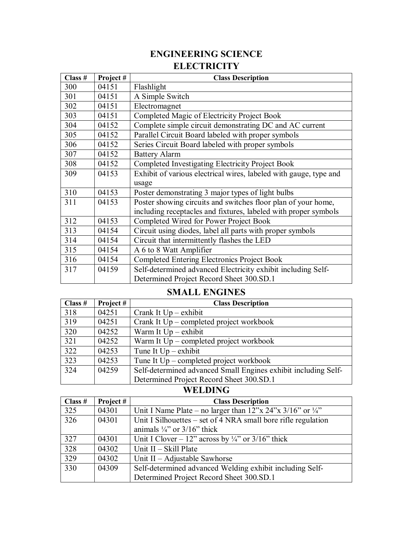## **ENGINEERING SCIENCE ELECTRICITY**

| Class # | Project# | <b>Class Description</b>                                          |
|---------|----------|-------------------------------------------------------------------|
| 300     | 04151    | Flashlight                                                        |
| 301     | 04151    | A Simple Switch                                                   |
| 302     | 04151    | Electromagnet                                                     |
| 303     | 04151    | Completed Magic of Electricity Project Book                       |
| 304     | 04152    | Complete simple circuit demonstrating DC and AC current           |
| 305     | 04152    | Parallel Circuit Board labeled with proper symbols                |
| 306     | 04152    | Series Circuit Board labeled with proper symbols                  |
| 307     | 04152    | <b>Battery Alarm</b>                                              |
| 308     | 04152    | Completed Investigating Electricity Project Book                  |
| 309     | 04153    | Exhibit of various electrical wires, labeled with gauge, type and |
|         |          | usage                                                             |
| 310     | 04153    | Poster demonstrating 3 major types of light bulbs                 |
| 311     | 04153    | Poster showing circuits and switches floor plan of your home,     |
|         |          | including receptacles and fixtures, labeled with proper symbols   |
| 312     | 04153    | Completed Wired for Power Project Book                            |
| 313     | 04154    | Circuit using diodes, label all parts with proper symbols         |
| 314     | 04154    | Circuit that intermittently flashes the LED                       |
| 315     | 04154    | A 6 to 8 Watt Amplifier                                           |
| 316     | 04154    | <b>Completed Entering Electronics Project Book</b>                |
| 317     | 04159    | Self-determined advanced Electricity exhibit including Self-      |
|         |          | Determined Project Record Sheet 300.SD.1                          |

## **SMALL ENGINES**

| Class # | Project# | <b>Class Description</b>                                       |
|---------|----------|----------------------------------------------------------------|
| 318     | 04251    | Crank It $Up - exhibit$                                        |
| 319     | 04251    | Crank It Up – completed project workbook                       |
| 320     | 04252    | Warm It $Up - exhibit$                                         |
| 321     | 04252    | Warm It Up – completed project workbook                        |
| 322     | 04253    | Tune It $Up - exhibit$                                         |
| 323     | 04253    | Tune It $Up$ – completed project workbook                      |
| 324     | 04259    | Self-determined advanced Small Engines exhibit including Self- |
|         |          | Determined Project Record Sheet 300.SD.1                       |

## **WELDING**

| Class $#$ | Project # | <b>Class Description</b>                                                                                                               |
|-----------|-----------|----------------------------------------------------------------------------------------------------------------------------------------|
| 325       | 04301     | Unit I Name Plate – no larger than $12^{\prime\prime}$ x $24^{\prime\prime}$ x $3/16^{\prime\prime}$ or $\frac{1}{4}^{\prime\prime}$ . |
| 326       | 04301     | Unit I Silhouettes – set of 4 NRA small bore rifle regulation                                                                          |
|           |           | animals $\frac{1}{4}$ " or $\frac{3}{16}$ " thick                                                                                      |
| 327       | 04301     | Unit I Clover – 12" across by $\frac{1}{4}$ " or 3/16" thick                                                                           |
| 328       | 04302     | Unit $II - Skill$ Plate                                                                                                                |
| 329       | 04302     | Unit $II - Adjustable$ Sawhorse                                                                                                        |
| 330       | 04309     | Self-determined advanced Welding exhibit including Self-                                                                               |
|           |           | Determined Project Record Sheet 300.SD.1                                                                                               |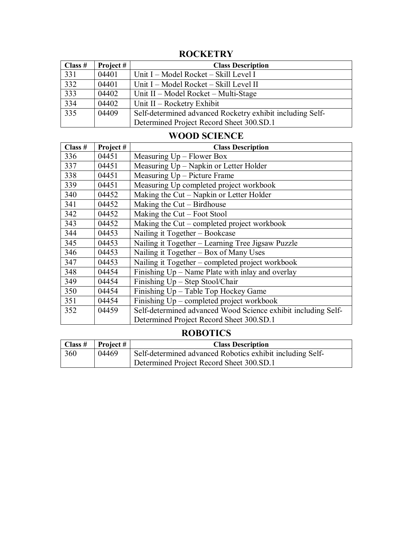| Class $#$       | Project # | <b>Class Description</b>                                  |
|-----------------|-----------|-----------------------------------------------------------|
| 331             | 04401     | Unit I – Model Rocket – Skill Level I                     |
| 332             | 04401     | Unit I – Model Rocket – Skill Level II                    |
| 333             | 04402     | Unit II – Model Rocket – Multi-Stage                      |
| $\frac{1}{334}$ | 04402     | Unit $II -$ Rocketry Exhibit                              |
| $\frac{1}{335}$ | 04409     | Self-determined advanced Rocketry exhibit including Self- |
|                 |           | Determined Project Record Sheet 300.SD.1                  |

## **ROCKETRY**

## **WOOD SCIENCE**

| Class # | Project# | <b>Class Description</b>                                      |
|---------|----------|---------------------------------------------------------------|
| 336     | 04451    | Measuring Up - Flower Box                                     |
| 337     | 04451    | Measuring Up – Napkin or Letter Holder                        |
| 338     | 04451    | Measuring Up - Picture Frame                                  |
| 339     | 04451    | Measuring Up completed project workbook                       |
| 340     | 04452    | Making the Cut – Napkin or Letter Holder                      |
| 341     | 04452    | Making the Cut – Birdhouse                                    |
| 342     | 04452    | Making the $Cut$ – Foot Stool                                 |
| 343     | 04452    | Making the $Cut$ – completed project workbook                 |
| 344     | 04453    | Nailing it Together – Bookcase                                |
| 345     | 04453    | Nailing it Together - Learning Tree Jigsaw Puzzle             |
| 346     | 04453    | Nailing it Together - Box of Many Uses                        |
| 347     | 04453    | Nailing it Together – completed project workbook              |
| 348     | 04454    | Finishing $Up - Name$ Plate with inlay and overlay            |
| 349     | 04454    | Finishing Up - Step Stool/Chair                               |
| 350     | 04454    | Finishing Up - Table Top Hockey Game                          |
| 351     | 04454    | Finishing $Up$ – completed project workbook                   |
| 352     | 04459    | Self-determined advanced Wood Science exhibit including Self- |
|         |          | Determined Project Record Sheet 300.SD.1                      |

## **ROBOTICS**

| $\bigcap$ Class # | Project # | <b>Class Description</b>                                  |
|-------------------|-----------|-----------------------------------------------------------|
| 360               | 04469     | Self-determined advanced Robotics exhibit including Self- |
|                   |           | Determined Project Record Sheet 300.SD.1                  |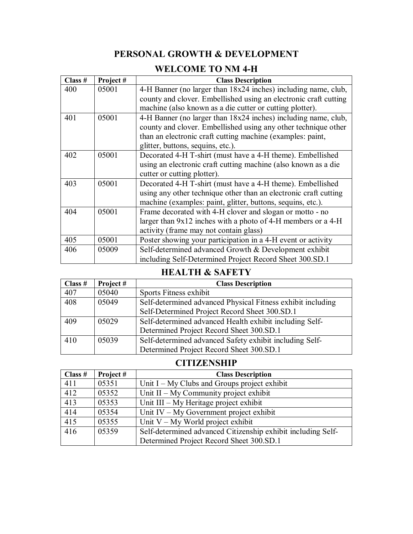## **PERSONAL GROWTH & DEVELOPMENT**

## **WELCOME TO NM 4-H**

| Class # | Project# | <b>Class Description</b>                                         |
|---------|----------|------------------------------------------------------------------|
| 400     | 05001    | 4-H Banner (no larger than 18x24 inches) including name, club,   |
|         |          | county and clover. Embellished using an electronic craft cutting |
|         |          | machine (also known as a die cutter or cutting plotter).         |
| 401     | 05001    | 4-H Banner (no larger than 18x24 inches) including name, club,   |
|         |          | county and clover. Embellished using any other technique other   |
|         |          | than an electronic craft cutting machine (examples: paint,       |
|         |          | glitter, buttons, sequins, etc.).                                |
| 402     | 05001    | Decorated 4-H T-shirt (must have a 4-H theme). Embellished       |
|         |          | using an electronic craft cutting machine (also known as a die   |
|         |          | cutter or cutting plotter).                                      |
| 403     | 05001    | Decorated 4-H T-shirt (must have a 4-H theme). Embellished       |
|         |          | using any other technique other than an electronic craft cutting |
|         |          | machine (examples: paint, glitter, buttons, sequins, etc.).      |
| 404     | 05001    | Frame decorated with 4-H clover and slogan or motto - no         |
|         |          | larger than 9x12 inches with a photo of 4-H members or a 4-H     |
|         |          | activity (frame may not contain glass)                           |
| 405     | 05001    | Poster showing your participation in a 4-H event or activity     |
| 406     | 05009    | Self-determined advanced Growth & Development exhibit            |
|         |          | including Self-Determined Project Record Sheet 300.SD.1          |

#### **HEALTH & SAFETY**

| Class $#$ | Project# | <b>Class Description</b>                                    |
|-----------|----------|-------------------------------------------------------------|
| 407       | 05040    | Sports Fitness exhibit                                      |
| 408       | 05049    | Self-determined advanced Physical Fitness exhibit including |
|           |          | Self-Determined Project Record Sheet 300.SD.1               |
| 409       | 05029    | Self-determined advanced Health exhibit including Self-     |
|           |          | Determined Project Record Sheet 300.SD.1                    |
| 410       | 05039    | Self-determined advanced Safety exhibit including Self-     |
|           |          | Determined Project Record Sheet 300.SD.1                    |

## **CITIZENSHIP**

| Class # | Project# | <b>Class Description</b>                                     |
|---------|----------|--------------------------------------------------------------|
| 411     | 05351    | Unit $I - My$ Clubs and Groups project exhibit               |
| 412     | 05352    | Unit $II - My Community project exhibit$                     |
| 413     | 05353    | Unit III – My Heritage project exhibit                       |
| 414     | 05354    | Unit IV $-$ My Government project exhibit                    |
| 415     | 05355    | Unit $V - My$ World project exhibit                          |
| 416     | 05359    | Self-determined advanced Citizenship exhibit including Self- |
|         |          | Determined Project Record Sheet 300.SD.1                     |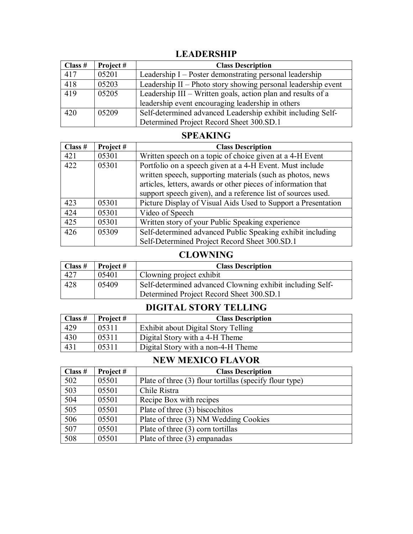## **LEADERSHIP**

| Class # | Project # | <b>Class Description</b>                                      |
|---------|-----------|---------------------------------------------------------------|
| 417     | 05201     | Leadership I – Poster demonstrating personal leadership       |
| 418     | 05203     | Leadership II – Photo story showing personal leadership event |
| 419     | 05205     | Leadership III - Written goals, action plan and results of a  |
|         |           | leadership event encouraging leadership in others             |
| 420     | 05209     | Self-determined advanced Leadership exhibit including Self-   |
|         |           | Determined Project Record Sheet 300.SD.1                      |

#### **SPEAKING**

| Class # | Project# | <b>Class Description</b>                                      |
|---------|----------|---------------------------------------------------------------|
| 421     | 05301    | Written speech on a topic of choice given at a 4-H Event      |
| 422     | 05301    | Portfolio on a speech given at a 4-H Event. Must include      |
|         |          | written speech, supporting materials (such as photos, news    |
|         |          | articles, letters, awards or other pieces of information that |
|         |          | support speech given), and a reference list of sources used.  |
| 423     | 05301    | Picture Display of Visual Aids Used to Support a Presentation |
| 424     | 05301    | Video of Speech                                               |
| 425     | 05301    | Written story of your Public Speaking experience              |
| 426     | 05309    | Self-determined advanced Public Speaking exhibit including    |
|         |          | Self-Determined Project Record Sheet 300.SD.1                 |

## **CLOWNING**

| Class $#$ | Project # | <b>Class Description</b>                                  |
|-----------|-----------|-----------------------------------------------------------|
| 427       | 05401     | Clowning project exhibit                                  |
| 428       | 05409     | Self-determined advanced Clowning exhibit including Self- |
|           |           | Determined Project Record Sheet 300.SD.1                  |

## **DIGITAL STORY TELLING**

| Class $#$ | Project # | <b>Class Description</b>            |
|-----------|-----------|-------------------------------------|
| 429       | 05311     | Exhibit about Digital Story Telling |
| 430       | 05311     | Digital Story with a 4-H Theme      |
| 431       | 05311     | Digital Story with a non-4-H Theme  |

## **NEW MEXICO FLAVOR**

| Class # | Project# | <b>Class Description</b>                                |
|---------|----------|---------------------------------------------------------|
| 502     | 05501    | Plate of three (3) flour tortillas (specify flour type) |
| 503     | 05501    | Chile Ristra                                            |
| 504     | 05501    | Recipe Box with recipes                                 |
| 505     | 05501    | Plate of three (3) biscochitos                          |
| 506     | 05501    | Plate of three (3) NM Wedding Cookies                   |
| 507     | 05501    | Plate of three (3) corn tortillas                       |
| 508     | 05501    | Plate of three (3) empanadas                            |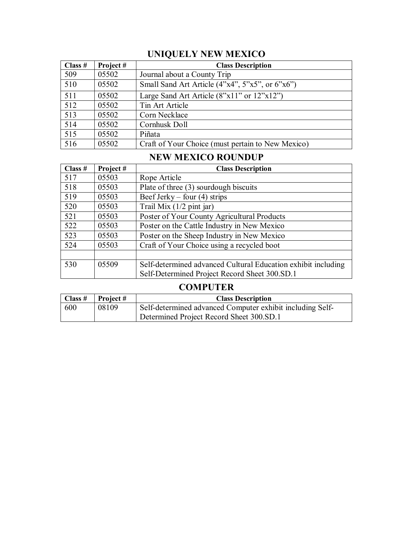# **UNIQUELY NEW MEXICO**

| Class $#$ | Project# | <b>Class Description</b>                          |
|-----------|----------|---------------------------------------------------|
| 509       | 05502    | Journal about a County Trip                       |
| 510       | 05502    | Small Sand Art Article (4"x4", 5"x5", or 6"x6")   |
| 511       | 05502    | Large Sand Art Article $(8"x11"$ or $12"x12"$     |
| 512       | 05502    | Tin Art Article                                   |
| 513       | 05502    | Corn Necklace                                     |
| 514       | 05502    | Cornhusk Doll                                     |
| 515       | 05502    | Piñata                                            |
| 516       | 05502    | Craft of Your Choice (must pertain to New Mexico) |

#### **NEW MEXICO ROUNDUP**

| Class $#$ | Project# | <b>Class Description</b>                                      |
|-----------|----------|---------------------------------------------------------------|
| 517       | 05503    | Rope Article                                                  |
| 518       | 05503    | Plate of three (3) sourdough biscuits                         |
| 519       | 05503    | Beef Jerky – four $(4)$ strips                                |
| 520       | 05503    | Trail Mix $(1/2$ pint jar)                                    |
| 521       | 05503    | Poster of Your County Agricultural Products                   |
| 522       | 05503    | Poster on the Cattle Industry in New Mexico                   |
| 523       | 05503    | Poster on the Sheep Industry in New Mexico                    |
| 524       | 05503    | Craft of Your Choice using a recycled boot                    |
|           |          |                                                               |
| 530       | 05509    | Self-determined advanced Cultural Education exhibit including |
|           |          | Self-Determined Project Record Sheet 300.SD.1                 |

## **COMPUTER**

|     | $\vert$ Class # $\vert$ Project # | <b>Class Description</b>                                  |
|-----|-----------------------------------|-----------------------------------------------------------|
| 600 | 08109                             | Self-determined advanced Computer exhibit including Self- |
|     |                                   | Determined Project Record Sheet 300.SD.1                  |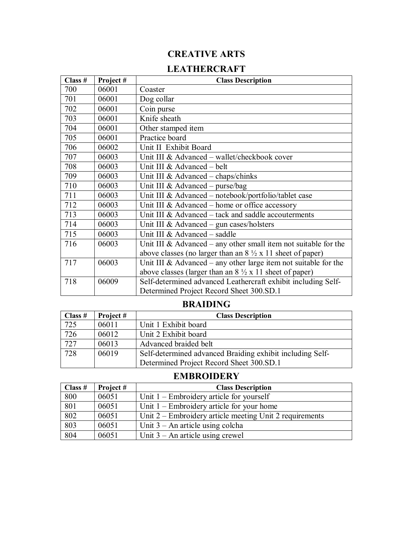## **CREATIVE ARTS**

#### **LEATHERCRAFT**

| Class # | Project# | <b>Class Description</b>                                                  |
|---------|----------|---------------------------------------------------------------------------|
| 700     | 06001    | Coaster                                                                   |
| 701     | 06001    | Dog collar                                                                |
| 702     | 06001    | Coin purse                                                                |
| 703     | 06001    | Knife sheath                                                              |
| 704     | 06001    | Other stamped item                                                        |
| 705     | 06001    | Practice board                                                            |
| 706     | 06002    | Unit II Exhibit Board                                                     |
| 707     | 06003    | Unit III & Advanced - wallet/checkbook cover                              |
| 708     | 06003    | Unit III & Advanced – belt                                                |
| 709     | 06003    | Unit III & Advanced $-$ chaps/chinks                                      |
| 710     | 06003    | Unit III & Advanced - purse/bag                                           |
| 711     | 06003    | Unit III & Advanced - notebook/portfolio/tablet case                      |
| 712     | 06003    | Unit III & Advanced – home or office accessory                            |
| 713     | 06003    | Unit III & Advanced – tack and saddle accouterments                       |
| 714     | 06003    | Unit III & Advanced – gun cases/holsters                                  |
| 715     | 06003    | Unit III & Advanced - saddle                                              |
| 716     | 06003    | Unit III & Advanced – any other small item not suitable for the           |
|         |          | above classes (no larger than an $8\frac{1}{2} \times 11$ sheet of paper) |
| 717     | 06003    | Unit III & Advanced – any other large item not suitable for the           |
|         |          | above classes (larger than an $8\frac{1}{2} \times 11$ sheet of paper)    |
| 718     | 06009    | Self-determined advanced Leathercraft exhibit including Self-             |
|         |          | Determined Project Record Sheet 300.SD.1                                  |

#### **BRAIDING**

| Class $#$ | Project# | <b>Class Description</b>                                  |
|-----------|----------|-----------------------------------------------------------|
| 725       | 06011    | Unit 1 Exhibit board                                      |
| 726       | 06012    | Unit 2 Exhibit board                                      |
| 727       | 06013    | Advanced braided belt                                     |
| 728       | 06019    | Self-determined advanced Braiding exhibit including Self- |
|           |          | Determined Project Record Sheet 300.SD.1                  |

#### **EMBROIDERY**

| Class $#$ | Project# | <b>Class Description</b>                                  |
|-----------|----------|-----------------------------------------------------------|
| 800       | 06051    | Unit $1$ – Embroidery article for yourself                |
| 801       | 06051    | Unit $1$ – Embroidery article for your home               |
| 802       | 06051    | Unit $2$ – Embroidery article meeting Unit 2 requirements |
| 803       | 06051    | Unit $3 - An$ article using colcha                        |
| 804       | 06051    | Unit $3 - An$ article using crewel                        |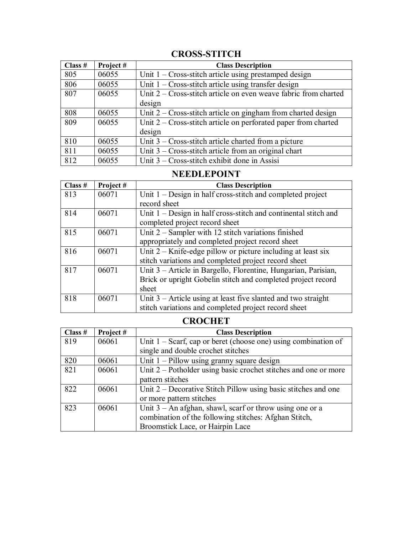## **CROSS-STITCH**

| Class # | Project# | <b>Class Description</b>                                          |
|---------|----------|-------------------------------------------------------------------|
| 805     | 06055    | Unit $1 - Cross-$ stitch article using prestamped design          |
| 806     | 06055    | Unit $1 - Cross-stitch$ article using transfer design             |
| 807     | 06055    | Unit $2 -$ Cross-stitch article on even weave fabric from charted |
|         |          | design                                                            |
| 808     | 06055    | Unit $2 -$ Cross-stitch article on gingham from charted design    |
| 809     | 06055    | Unit $2$ – Cross-stitch article on perforated paper from charted  |
|         |          | design                                                            |
| 810     | 06055    | Unit $3$ – Cross-stitch article charted from a picture            |
| 811     | 06055    | Unit $3$ – Cross-stitch article from an original chart            |
| 812     | 06055    | Unit $3$ – Cross-stitch exhibit done in Assisi                    |

## **NEEDLEPOINT**

| Class # | Project# | <b>Class Description</b>                                          |
|---------|----------|-------------------------------------------------------------------|
| 813     | 06071    | Unit $1 -$ Design in half cross-stitch and completed project      |
|         |          | record sheet                                                      |
| 814     | 06071    | Unit $1 -$ Design in half cross-stitch and continental stitch and |
|         |          | completed project record sheet                                    |
| 815     | 06071    | Unit $2$ – Sampler with 12 stitch variations finished             |
|         |          | appropriately and completed project record sheet                  |
| 816     | 06071    | Unit $2 -$ Knife-edge pillow or picture including at least six    |
|         |          | stitch variations and completed project record sheet              |
| 817     | 06071    | Unit 3 – Article in Bargello, Florentine, Hungarian, Parisian,    |
|         |          | Brick or upright Gobelin stitch and completed project record      |
|         |          | sheet                                                             |
| 818     | 06071    | Unit $3$ – Article using at least five slanted and two straight   |
|         |          | stitch variations and completed project record sheet              |

## **CROCHET**

| Class $#$ | Project# | <b>Class Description</b>                                          |
|-----------|----------|-------------------------------------------------------------------|
| 819       | 06061    | Unit $1 -$ Scarf, cap or beret (choose one) using combination of  |
|           |          | single and double crochet stitches                                |
| 820       | 06061    | Unit $1 -$ Pillow using granny square design                      |
| 821       | 06061    | Unit $2$ – Potholder using basic crochet stitches and one or more |
|           |          | pattern stitches                                                  |
| 822       | 06061    | Unit $2$ – Decorative Stitch Pillow using basic stitches and one  |
|           |          | or more pattern stitches                                          |
| 823       | 06061    | Unit $3 - An$ afghan, shawl, scarf or throw using one or a        |
|           |          | combination of the following stitches: Afghan Stitch,             |
|           |          | Broomstick Lace, or Hairpin Lace                                  |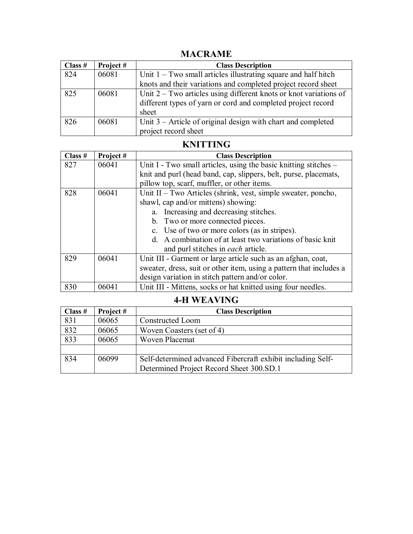## **MACRAME**

| Class # | Project# | <b>Class Description</b>                                            |
|---------|----------|---------------------------------------------------------------------|
| 824     | 06081    | Unit $1 - Two small articles illustrating square and half hitch$    |
|         |          | knots and their variations and completed project record sheet       |
| 825     | 06081    | Unit $2 - Two$ articles using different knots or knot variations of |
|         |          | different types of yarn or cord and completed project record        |
|         |          | sheet                                                               |
| 826     | 06081    | Unit $3$ – Article of original design with chart and completed      |
|         |          | project record sheet                                                |

## **KNITTING**

| Class $#$ | Project# | <b>Class Description</b>                                            |
|-----------|----------|---------------------------------------------------------------------|
| 827       | 06041    | Unit I - Two small articles, using the basic knitting stitches –    |
|           |          | knit and purl (head band, cap, slippers, belt, purse, placemats,    |
|           |          | pillow top, scarf, muffler, or other items.                         |
| 828       | 06041    | Unit II – Two Articles (shrink, vest, simple sweater, poncho,       |
|           |          | shawl, cap and/or mittens) showing:                                 |
|           |          | a. Increasing and decreasing stitches.                              |
|           |          | b. Two or more connected pieces.                                    |
|           |          | c. Use of two or more colors (as in stripes).                       |
|           |          | d. A combination of at least two variations of basic knit           |
|           |          | and purl stitches in each article.                                  |
| 829       | 06041    | Unit III - Garment or large article such as an afghan, coat,        |
|           |          | sweater, dress, suit or other item, using a pattern that includes a |
|           |          | design variation in stitch pattern and/or color.                    |
| 830       | 06041    | Unit III - Mittens, socks or hat knitted using four needles.        |

## **4-H WEAVING**

| Class $#$ | Project# | <b>Class Description</b>                                    |
|-----------|----------|-------------------------------------------------------------|
| 831       | 06065    | <b>Constructed Loom</b>                                     |
| 832       | 06065    | Woven Coasters (set of 4)                                   |
| 833       | 06065    | Woven Placemat                                              |
|           |          |                                                             |
| 834       | 06099    | Self-determined advanced Fibercraft exhibit including Self- |
|           |          | Determined Project Record Sheet 300.SD.1                    |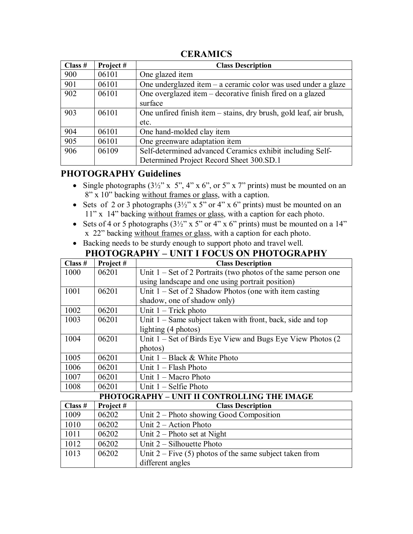| Class # | Project# | <b>Class Description</b>                                           |
|---------|----------|--------------------------------------------------------------------|
| 900     | 06101    | One glazed item                                                    |
| 901     | 06101    | One underglazed item – a ceramic color was used under a glaze      |
| 902     | 06101    | One overglazed item – decorative finish fired on a glazed          |
|         |          | surface                                                            |
| 903     | 06101    | One unfired finish item - stains, dry brush, gold leaf, air brush, |
|         |          | etc.                                                               |
| 904     | 06101    | One hand-molded clay item                                          |
| 905     | 06101    | One greenware adaptation item                                      |
| 906     | 06109    | Self-determined advanced Ceramics exhibit including Self-          |
|         |          | Determined Project Record Sheet 300.SD.1                           |

#### **CERAMICS**

## **PHOTOGRAPHY Guidelines**

- Single photographs  $(3\frac{1}{2}$ " x 5", 4" x 6", or 5" x 7" prints) must be mounted on an 8" x 10" backing without frames or glass, with a caption.
- Sets of 2 or 3 photographs  $(3\frac{1}{2}$ " x 5" or 4" x 6" prints) must be mounted on an 11" x 14" backing without frames or glass, with a caption for each photo.
- Sets of 4 or 5 photographs  $(3\frac{1}{2}$ " x 5" or 4" x 6" prints) must be mounted on a 14" x 22" backing without frames or glass, with a caption for each photo.
- Backing needs to be sturdy enough to support photo and travel well. **PHOTOGRAPHY – UNIT I FOCUS ON PHOTOGRAPHY**

| Class # | Project# | <b>Class Description</b>                                         |
|---------|----------|------------------------------------------------------------------|
| 1000    | 06201    | Unit $1 - Set of 2$ Portraits (two photos of the same person one |
|         |          | using landscape and one using portrait position)                 |
| 1001    | 06201    | Unit $1 - Set of 2 Shadow Photos (one with item casting)$        |
|         |          | shadow, one of shadow only)                                      |
| 1002    | 06201    | Unit $1 -$ Trick photo                                           |
| 1003    | 06201    | Unit $1 -$ Same subject taken with front, back, side and top     |
|         |          | lighting (4 photos)                                              |
| 1004    | 06201    | Unit $1 - Set$ of Birds Eye View and Bugs Eye View Photos $(2)$  |
|         |          | photos)                                                          |
| 1005    | 06201    | Unit $1 - Black & White Photo$                                   |
| 1006    | 06201    | Unit $1 -$ Flash Photo                                           |
| 1007    | 06201    | Unit $1 - \text{Macc}$ Photo                                     |
| 1008    | 06201    | Unit $1 -$ Selfie Photo                                          |
|         |          | PHOTOGRAPHY - UNIT II CONTROLLING THE IMAGE                      |
| Class # | Project# | <b>Class Description</b>                                         |
| 1009    | 06202    | Unit 2 – Photo showing Good Composition                          |
| 1010    | 06202    | Unit $2 -$ Action Photo                                          |
| 1011    | 06202    | Unit $2$ – Photo set at Night                                    |
| 1012    | 06202    | Unit $2 - S$ ilhouette Photo                                     |
| 1013    | 06202    | Unit $2 -$ Five (5) photos of the same subject taken from        |
|         |          | different angles                                                 |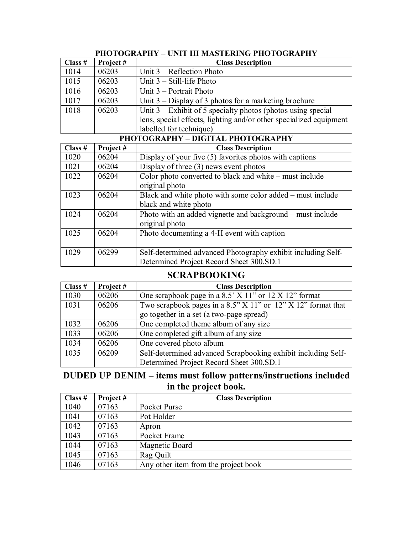| Class # | Project# | <b>Class Description</b>                                           |
|---------|----------|--------------------------------------------------------------------|
| 1014    | 06203    | Unit $3$ – Reflection Photo                                        |
| 1015    | 06203    | Unit $3 - Still$ -life Photo                                       |
| 1016    | 06203    | Unit $3$ – Portrait Photo                                          |
| 1017    | 06203    | Unit $3$ – Display of 3 photos for a marketing brochure            |
| 1018    | 06203    | Unit $3 -$ Exhibit of 5 specialty photos (photos using special     |
|         |          | lens, special effects, lighting and/or other specialized equipment |
|         |          | labelled for technique)                                            |
|         |          | PHOTOGRAPHY - DIGITAL PHOTOGRAPHY                                  |
| Class # | Project# | <b>Class Description</b>                                           |
| 1020    | 06204    | Display of your five (5) favorites photos with captions            |
| 1021    | 06204    | Display of three $(3)$ news event photos                           |
| 1022    | 06204    | Color photo converted to black and white - must include            |
|         |          | original photo                                                     |
| 1023    | 06204    | Black and white photo with some color added – must include         |
|         |          | black and white photo                                              |
| 1024    | 06204    | Photo with an added vignette and background – must include         |
|         |          | original photo                                                     |
| 1025    | 06204    | Photo documenting a 4-H event with caption                         |
|         |          |                                                                    |
| 1029    | 06299    | Self-determined advanced Photography exhibit including Self-       |
|         |          | Determined Project Record Sheet 300.SD.1                           |

#### **PHOTOGRAPHY – UNIT III MASTERING PHOTOGRAPHY**

#### **SCRAPBOOKING**

| Class # | Project# | <b>Class Description</b>                                        |
|---------|----------|-----------------------------------------------------------------|
| 1030    | 06206    | One scrapbook page in a 8.5' X 11" or 12 X 12" format           |
| 1031    | 06206    | Two scrapbook pages in a $8.5$ " X 11" or 12" X 12" format that |
|         |          | go together in a set (a two-page spread)                        |
| 1032    | 06206    | One completed theme album of any size                           |
| 1033    | 06206    | One completed gift album of any size                            |
| 1034    | 06206    | One covered photo album                                         |
| 1035    | 06209    | Self-determined advanced Scrapbooking exhibit including Self-   |
|         |          | Determined Project Record Sheet 300.SD.1                        |

## **DUDED UP DENIM – items must follow patterns/instructions included in the project book.**

| Class $#$ | Project# | <b>Class Description</b>             |
|-----------|----------|--------------------------------------|
| 1040      | 07163    | Pocket Purse                         |
| 1041      | 07163    | Pot Holder                           |
| 1042      | 07163    | Apron                                |
| 1043      | 07163    | Pocket Frame                         |
| 1044      | 07163    | Magnetic Board                       |
| 1045      | 07163    | Rag Quilt                            |
| 1046      | 07163    | Any other item from the project book |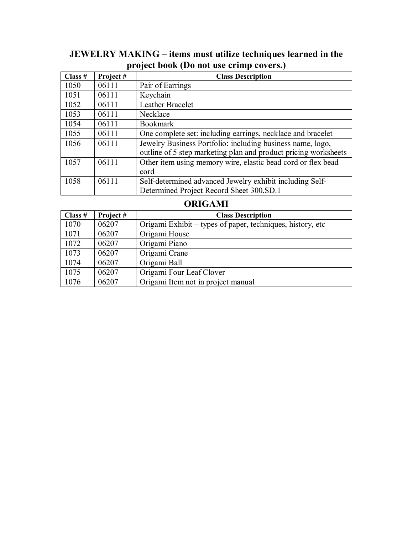## **JEWELRY MAKING – items must utilize techniques learned in the project book (Do not use crimp covers.)**

| Class $#$ | Project# | <b>Class Description</b>                                        |
|-----------|----------|-----------------------------------------------------------------|
| 1050      | 06111    | Pair of Earrings                                                |
| 1051      | 06111    | Keychain                                                        |
| 1052      | 06111    | Leather Bracelet                                                |
| 1053      | 06111    | Necklace                                                        |
| 1054      | 06111    | <b>Bookmark</b>                                                 |
| 1055      | 06111    | One complete set: including earrings, necklace and bracelet     |
| 1056      | 06111    | Jewelry Business Portfolio: including business name, logo,      |
|           |          | outline of 5 step marketing plan and product pricing worksheets |
| 1057      | 06111    | Other item using memory wire, elastic bead cord or flex bead    |
|           |          | cord                                                            |
| 1058      | 06111    | Self-determined advanced Jewelry exhibit including Self-        |
|           |          | Determined Project Record Sheet 300.SD.1                        |

#### **ORIGAMI**

| Class $#$ | Project# | <b>Class Description</b>                                   |
|-----------|----------|------------------------------------------------------------|
| 1070      | 06207    | Origami Exhibit – types of paper, techniques, history, etc |
| 1071      | 06207    | Origami House                                              |
| 1072      | 06207    | Origami Piano                                              |
| 1073      | 06207    | Origami Crane                                              |
| 1074      | 06207    | Origami Ball                                               |
| 1075      | 06207    | Origami Four Leaf Clover                                   |
| 1076      | 06207    | Origami Item not in project manual                         |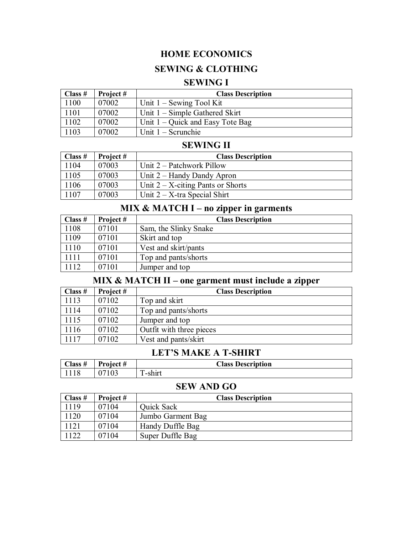## **HOME ECONOMICS**

#### **SEWING & CLOTHING**

#### **SEWING I**

| Class $#$ | Project# | <b>Class Description</b>           |
|-----------|----------|------------------------------------|
| 1100      | 07002    | Unit $1 -$ Sewing Tool Kit         |
| 1101      | 07002    | Unit $1 -$ Simple Gathered Skirt   |
| 1102      | 07002    | Unit $1 -$ Quick and Easy Tote Bag |
| 1103      | 07002    | Unit $1 -$ Scrunchie               |

#### **SEWING II**

| Class $#$ | Project # | <b>Class Description</b>             |
|-----------|-----------|--------------------------------------|
| 1104      | 07003     | Unit $2$ – Patchwork Pillow          |
| 1105      | 07003     | Unit 2 – Handy Dandy Apron           |
| 1106      | 07003     | Unit $2 - X$ -citing Pants or Shorts |
| 1107      | 07003     | Unit $2 - X$ -tra Special Shirt      |

#### **MIX & MATCH I – no zipper in garments**

| Class $#$ | Project # | <b>Class Description</b> |
|-----------|-----------|--------------------------|
| 1108      | 07101     | Sam, the Slinky Snake    |
| 1109      | 07101     | Skirt and top            |
| 1110      | 07101     | Vest and skirt/pants     |
| 1111      | 07101     | Top and pants/shorts     |
| 1112      | 07101     | Jumper and top           |

# **MIX & MATCH II – one garment must include a zipper**

| $\vert$ Class # | Project# | <b>Class Description</b> |
|-----------------|----------|--------------------------|
| 1113            | 07102    | Top and skirt            |
| 1114            | 07102    | Top and pants/shorts     |
| 1115            | 07102    | Jumper and top           |
| 1116            | 07102    | Outfit with three pieces |
| 1117            | 07102    | Vest and pants/skirt     |

## **LET'S MAKE A T-SHIRT**

| Class # | Project # | <b>Class Description</b> |
|---------|-----------|--------------------------|
| 1118    | 07103     | $\sim$<br>-shirt         |

#### **SEW AND GO**

| Class $#$ | Project # | <b>Class Description</b> |
|-----------|-----------|--------------------------|
| 1119      | 07104     | Quick Sack               |
| 1120      | 07104     | Jumbo Garment Bag        |
| 1121      | 07104     | Handy Duffle Bag         |
| 122       | 07104     | Super Duffle Bag         |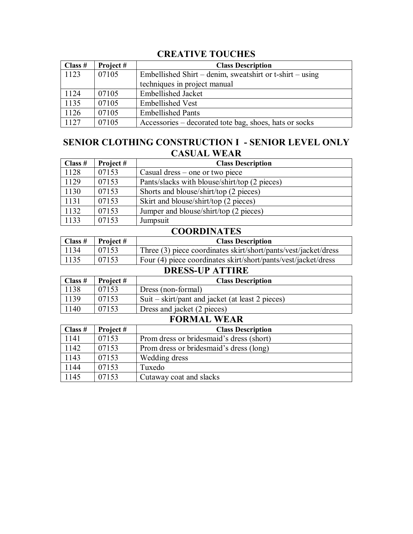## **CREATIVE TOUCHES**

| Class $#$ | Project # | <b>Class Description</b>                                 |
|-----------|-----------|----------------------------------------------------------|
| 1123      | 07105     | Embellished Shirt – denim, sweatshirt or t-shirt – using |
|           |           | techniques in project manual                             |
| 1124      | 07105     | <b>Embellished Jacket</b>                                |
| 1135      | 07105     | <b>Embellished Vest</b>                                  |
| 1126      | 07105     | <b>Embellished Pants</b>                                 |
| 1127      | 07105     | Accessories – decorated tote bag, shoes, hats or socks   |

#### **SENIOR CLOTHING CONSTRUCTION I - SENIOR LEVEL ONLY CASUAL WEAR**

| Class $#$ | Project# | <b>Class Description</b>                      |
|-----------|----------|-----------------------------------------------|
| 1128      | 07153    | Casual dress $-$ one or two piece             |
| 1129      | 07153    | Pants/slacks with blouse/shirt/top (2 pieces) |
| 1130      | 07153    | Shorts and blouse/shirt/top (2 pieces)        |
| 1131      | 07153    | Skirt and blouse/shirt/top (2 pieces)         |
| 1132      | 07153    | Jumper and blouse/shirt/top (2 pieces)        |
| 1133      | 07153    | Jumpsuit                                      |

#### **COORDINATES**

| Class $#$ | <b>Project</b> # | <b>Class Description</b>                                        |
|-----------|------------------|-----------------------------------------------------------------|
| 1134      | 07153            | Three (3) piece coordinates skirt/short/pants/vest/jacket/dress |
| 1135      | 07153            | Four (4) piece coordinates skirt/short/pants/vest/jacket/dress  |

#### **DRESS-UP ATTIRE**

| Class # | Project # | <b>Class Description</b>                         |
|---------|-----------|--------------------------------------------------|
| 1138    | 07153     | Dress (non-formal)                               |
| 1139    | 07153     | Suit – skirt/pant and jacket (at least 2 pieces) |
| 1140    | 07153     | Dress and jacket (2 pieces)                      |

# **FORMAL WEAR**

 $\overline{\phantom{0}}$ 

| Class $#$ | Project# | <b>Class Description</b>                 |
|-----------|----------|------------------------------------------|
| 1141      | 07153    | Prom dress or bridesmaid's dress (short) |
| 1142      | 07153    | Prom dress or bridesmaid's dress (long)  |
| 1143      | 07153    | Wedding dress                            |
| 1144      | 07153    | Tuxedo                                   |
| 1145      | 07153    | Cutaway coat and slacks                  |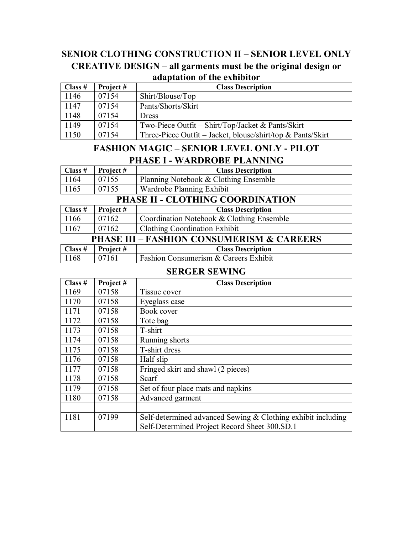## **SENIOR CLOTHING CONSTRUCTION II – SENIOR LEVEL ONLY CREATIVE DESIGN – all garments must be the original design or adaptation of the exhibitor**

| Class $#$ | Project # | <b>Class Description</b>                                    |
|-----------|-----------|-------------------------------------------------------------|
| 1146      | 07154     | Shirt/Blouse/Top                                            |
| 1147      | 07154     | Pants/Shorts/Skirt                                          |
| 1148      | 07154     | <b>Dress</b>                                                |
| 1149      | 07154     | Two-Piece Outfit – Shirt/Top/Jacket & Pants/Skirt           |
| 1150      | 07154     | Three-Piece Outfit – Jacket, blouse/shirt/top & Pants/Skirt |

#### **FASHION MAGIC – SENIOR LEVEL ONLY - PILOT PHASE I - WARDROBE PLANNING**

| $\vert$ Class # | Project #                        | <b>Class Description</b>              |  |
|-----------------|----------------------------------|---------------------------------------|--|
| 1164            | 07155                            | Planning Notebook & Clothing Ensemble |  |
| 1165            | 07155                            | Wardrobe Planning Exhibit             |  |
|                 | PHASE II - CLOTHING COORDINATION |                                       |  |

|                                                      | THE REPORTED VOORDENING |                                           |  |
|------------------------------------------------------|-------------------------|-------------------------------------------|--|
| Class $#$                                            | Project #               | <b>Class Description</b>                  |  |
| 1166                                                 | 07162                   | Coordination Notebook & Clothing Ensemble |  |
| 1167                                                 | 07162                   | <b>Clothing Coordination Exhibit</b>      |  |
| <b>PHASE III - FASHION CONSUMERISM &amp; CAREERS</b> |                         |                                           |  |
| Class $#$                                            | Project #               | <b>Class Description</b>                  |  |

| 1168 | 07161 | <b>Fashion Consumerism &amp; Careers Exhibit</b> |
|------|-------|--------------------------------------------------|

#### **SERGER SEWING**

| Class # | Project# | <b>Class Description</b>                                     |
|---------|----------|--------------------------------------------------------------|
| 1169    | 07158    | Tissue cover                                                 |
| 1170    | 07158    | Eyeglass case                                                |
| 1171    | 07158    | Book cover                                                   |
| 1172    | 07158    | Tote bag                                                     |
| 1173    | 07158    | T-shirt                                                      |
| 1174    | 07158    | Running shorts                                               |
| 1175    | 07158    | T-shirt dress                                                |
| 1176    | 07158    | Half slip                                                    |
| 1177    | 07158    | Fringed skirt and shawl (2 pieces)                           |
| 1178    | 07158    | Scarf                                                        |
| 1179    | 07158    | Set of four place mats and napkins                           |
| 1180    | 07158    | Advanced garment                                             |
|         |          |                                                              |
| 1181    | 07199    | Self-determined advanced Sewing & Clothing exhibit including |
|         |          | Self-Determined Project Record Sheet 300.SD.1                |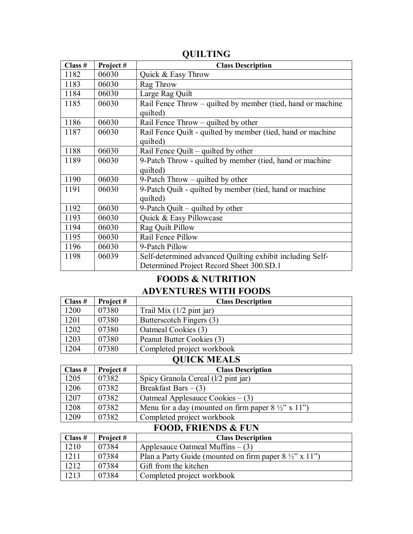| Class # | Project# | <b>Class Description</b>                                                                              |
|---------|----------|-------------------------------------------------------------------------------------------------------|
| 1182    | 06030    | Quick & Easy Throw                                                                                    |
| 1183    | 06030    | Rag Throw                                                                                             |
| 1184    | 06030    | Large Rag Quilt                                                                                       |
| 1185    | 06030    | Rail Fence Throw – quilted by member (tied, hand or machine<br>quilted)                               |
| 1186    | 06030    | Rail Fence Throw $-$ quilted by other                                                                 |
| 1187    | 06030    | Rail Fence Quilt - quilted by member (tied, hand or machine<br>quilted)                               |
| 1188    | 06030    | Rail Fence Quilt – quilted by other                                                                   |
| 1189    | 06030    | 9-Patch Throw - quilted by member (tied, hand or machine<br>quilted)                                  |
| 1190    | 06030    | 9-Patch Throw – quilted by other                                                                      |
| 1191    | 06030    | 9-Patch Quilt - quilted by member (tied, hand or machine<br>quilted)                                  |
| 1192    | 06030    | 9-Patch Quilt $-$ quilted by other                                                                    |
| 1193    | 06030    | Quick & Easy Pillowcase                                                                               |
| 1194    | 06030    | Rag Quilt Pillow                                                                                      |
| 1195    | 06030    | Rail Fence Pillow                                                                                     |
| 1196    | 06030    | 9-Patch Pillow                                                                                        |
| 1198    | 06039    | Self-determined advanced Quilting exhibit including Self-<br>Determined Project Record Sheet 300.SD.1 |

#### **QUILTING**

## **FOODS & NUTRITION ADVENTURES WITH FOODS**

| $\vert$ Class # | Project# | <b>Class Description</b>   |
|-----------------|----------|----------------------------|
| 1200            | 07380    | Trail Mix $(1/2$ pint jar) |
| 1201            | 07380    | Butterscotch Fingers (3)   |
| 1202            | 07380    | Oatmeal Cookies (3)        |
| 1203            | 07380    | Peanut Butter Cookies (3)  |
| 1204            | 07380    | Completed project workbook |

## **QUICK MEALS**

| Class $#$ | Project# | <b>Class Description</b>                                      |
|-----------|----------|---------------------------------------------------------------|
| 1205      | 07382    | Spicy Granola Cereal (1/2 pint jar)                           |
| 1206      | 07382    | Breakfast Bars $-$ (3)                                        |
| 1207      | 07382    | Oatmeal Applesauce Cookies $- (3)$                            |
| 1208      | 07382    | Menu for a day (mounted on firm paper $8\frac{1}{2}$ " x 11") |
| 1209      | 07382    | Completed project workbook                                    |

# **FOOD, FRIENDS & FUN**

| Class $#$ | Project# | <b>Class Description</b>                                          |
|-----------|----------|-------------------------------------------------------------------|
| 1210      | 07384    | Applesauce Oatmeal Muffins $-$ (3)                                |
| 1211      | 07384    | Plan a Party Guide (mounted on firm paper $8\frac{1}{2}$ " x 11") |
| 1212      | 07384    | Gift from the kitchen                                             |
| 1213      | 07384    | Completed project workbook                                        |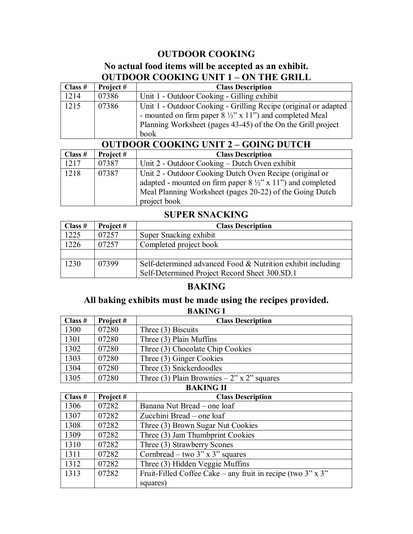## **OUTDOOR COOKING**

## **No actual food items will be accepted as an exhibit. OUTDOOR COOKING UNIT 1 – ON THE GRILL**

| Class # | Project #                                   | <b>Class Description</b>                                                                                                                                                                                      |  |
|---------|---------------------------------------------|---------------------------------------------------------------------------------------------------------------------------------------------------------------------------------------------------------------|--|
| 1214    | 07386                                       | Unit 1 - Outdoor Cooking - Gilling exhibit                                                                                                                                                                    |  |
| 1215    | 07386                                       | Unit 1 - Outdoor Cooking - Grilling Recipe (original or adapted<br>- mounted on firm paper $8\frac{1}{2}$ " x 11") and completed Meal<br>Planning Worksheet (pages 43-45) of the On the Grill project<br>book |  |
|         | <b>OUTDOOR COOKING UNIT 2 - GOING DUTCH</b> |                                                                                                                                                                                                               |  |

|         | $\sigma$ and $\sigma$ and $\sigma$ and $\sigma$ and $\sigma$ |                                                                       |  |
|---------|--------------------------------------------------------------|-----------------------------------------------------------------------|--|
| Class # | Project #                                                    | <b>Class Description</b>                                              |  |
| 1217    | 07387                                                        | Unit 2 - Outdoor Cooking – Dutch Oven exhibit                         |  |
| 1218    | 07387                                                        | Unit 2 - Outdoor Cooking Dutch Oven Recipe (original or               |  |
|         |                                                              | adapted - mounted on firm paper $8\frac{1}{2}$ " x 11") and completed |  |
|         |                                                              | Meal Planning Worksheet (pages 20-22) of the Going Dutch              |  |
|         |                                                              | project book                                                          |  |

## **SUPER SNACKING**

| Class $#$ | Project # | <b>Class Description</b>                                    |
|-----------|-----------|-------------------------------------------------------------|
| 1225      | 07257     | Super Snacking exhibit                                      |
| 1226      | 07257     | Completed project book                                      |
|           |           |                                                             |
| 1230      | 07399     | Self-determined advanced Food & Nutrition exhibit including |
|           |           | Self-Determined Project Record Sheet 300.SD.1               |

#### **BAKING**

#### **All baking exhibits must be made using the recipes provided. BAKING I**

| Class $#$           | Project # | <b>Class Description</b>                   |  |
|---------------------|-----------|--------------------------------------------|--|
| 1300                | 07280     | Three (3) Biscuits                         |  |
| 1301                | 07280     | Three (3) Plain Muffins                    |  |
| 1302                | 07280     | Three (3) Chocolate Chip Cookies           |  |
| 1303                | 07280     | Three (3) Ginger Cookies                   |  |
| 1304                | 07280     | Three (3) Snickerdoodles                   |  |
| 1305                | 07280     | Three (3) Plain Brownies – 2" x 2" squares |  |
| DAIZINI <i>o</i> II |           |                                            |  |

**BAKING II**

| Class $#$ | Project# | <b>Class Description</b>                                          |
|-----------|----------|-------------------------------------------------------------------|
| 1306      | 07282    | Banana Nut Bread – one loaf                                       |
| 1307      | 07282    | Zucchini Bread – one loaf                                         |
| 1308      | 07282    | Three (3) Brown Sugar Nut Cookies                                 |
| 1309      | 07282    | Three (3) Jam Thumbprint Cookies                                  |
| 1310      | 07282    | Three (3) Strawberry Scones                                       |
| 1311      | 07282    | Cornbread – two $3" \times 3"$ squares                            |
| 1312      | 07282    | Three (3) Hidden Veggie Muffins                                   |
| 1313      | 07282    | Fruit-Filled Coffee Cake – any fruit in recipe (two $3''$ x $3''$ |
|           |          | squares)                                                          |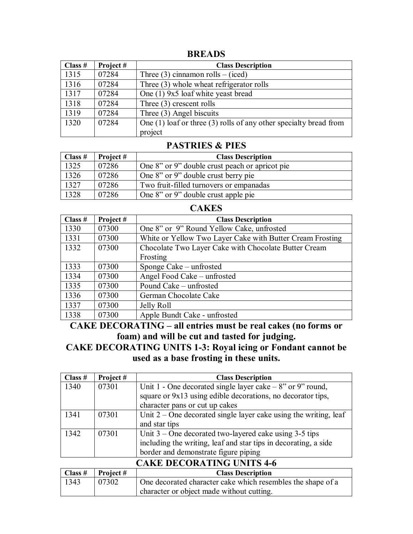#### **BREADS**

| Class $#$ | Project # | <b>Class Description</b>                                              |
|-----------|-----------|-----------------------------------------------------------------------|
| 1315      | 07284     | Three $(3)$ cinnamon rolls – (iced)                                   |
| 1316      | 07284     | Three (3) whole wheat refrigerator rolls                              |
| 1317      | 07284     | One (1) 9x5 loaf white yeast bread                                    |
| 1318      | 07284     | Three $(3)$ crescent rolls                                            |
| 1319      | 07284     | Three (3) Angel biscuits                                              |
| 1320      | 07284     | One $(1)$ loaf or three $(3)$ rolls of any other specialty bread from |
|           |           | project                                                               |

#### **PASTRIES & PIES**

| Class $#$ | Project # | <b>Class Description</b>                       |
|-----------|-----------|------------------------------------------------|
| 1325      | 07286     | One 8" or 9" double crust peach or apricot pie |
| 1326      | 07286     | One 8" or 9" double crust berry pie            |
| 1327      | 07286     | Two fruit-filled turnovers or empanadas        |
| 1328      | 07286     | One 8" or 9" double crust apple pie            |

#### **CAKES**

| Class $#$ | Project# | <b>Class Description</b>                                  |
|-----------|----------|-----------------------------------------------------------|
| 1330      | 07300    | One 8" or 9" Round Yellow Cake, unfrosted                 |
| 1331      | 07300    | White or Yellow Two Layer Cake with Butter Cream Frosting |
| 1332      | 07300    | Chocolate Two Layer Cake with Chocolate Butter Cream      |
|           |          | Frosting                                                  |
| 1333      | 07300    | Sponge Cake – unfrosted                                   |
| 1334      | 07300    | Angel Food Cake - unfrosted                               |
| 1335      | 07300    | Pound Cake – unfrosted                                    |
| 1336      | 07300    | German Chocolate Cake                                     |
| 1337      | 07300    | Jelly Roll                                                |
| 1338      | 07300    | Apple Bundt Cake - unfrosted                              |

**CAKE DECORATING – all entries must be real cakes (no forms or foam) and will be cut and tasted for judging.**

**CAKE DECORATING UNITS 1-3: Royal icing or Fondant cannot be used as a base frosting in these units.**

| Class # | Project#                         | <b>Class Description</b>                                           |  |
|---------|----------------------------------|--------------------------------------------------------------------|--|
| 1340    | 07301                            | Unit 1 - One decorated single layer cake $-8$ " or 9" round,       |  |
|         |                                  | square or 9x13 using edible decorations, no decorator tips,        |  |
|         |                                  | character pans or cut up cakes                                     |  |
| 1341    | 07301                            | Unit $2$ – One decorated single layer cake using the writing, leaf |  |
|         |                                  | and star tips                                                      |  |
| 1342    | 07301                            | Unit $3$ – One decorated two-layered cake using $3-5$ tips         |  |
|         |                                  | including the writing, leaf and star tips in decorating, a side    |  |
|         |                                  | border and demonstrate figure piping                               |  |
|         | <b>CAKE DECORATING UNITS 4-6</b> |                                                                    |  |

|      | $\vert$ Class # $\vert$ Project # | <b>Class Description</b>                                    |
|------|-----------------------------------|-------------------------------------------------------------|
| 1343 | 07302                             | One decorated character cake which resembles the shape of a |
|      |                                   | character or object made without cutting.                   |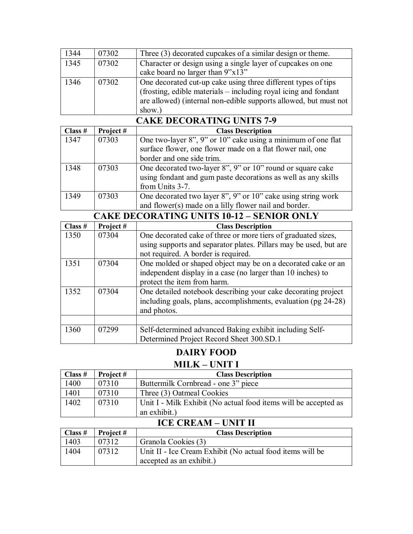| 1344 | 07302 | Three (3) decorated cupcakes of a similar design or theme.       |
|------|-------|------------------------------------------------------------------|
| 1345 | 07302 | Character or design using a single layer of cupcakes on one      |
|      |       | cake board no larger than 9"x13"                                 |
| 1346 | 07302 | One decorated cut-up cake using three different types of tips    |
|      |       | (frosting, edible materials – including royal icing and fondant  |
|      |       | are allowed) (internal non-edible supports allowed, but must not |
|      |       | show.)                                                           |

| <b>CAKE DECORATING UNITS 7-9</b> |          |                                                               |  |
|----------------------------------|----------|---------------------------------------------------------------|--|
| Class $#$                        | Project# | <b>Class Description</b>                                      |  |
| 1347                             | 07303    | One two-layer 8", 9" or 10" cake using a minimum of one flat  |  |
|                                  |          | surface flower, one flower made on a flat flower nail, one    |  |
|                                  |          | border and one side trim.                                     |  |
| 1348                             | 07303    | One decorated two-layer 8", 9" or 10" round or square cake    |  |
|                                  |          | using fondant and gum paste decorations as well as any skills |  |
|                                  |          | from Units 3-7.                                               |  |
| 1349                             | 07303    | One decorated two layer 8", 9" or 10" cake using string work  |  |
|                                  |          | and flower(s) made on a lilly flower nail and border.         |  |

|           | <b>CAKE DECORATING UNITS 10-12 - SENIOR ONLY</b> |                                                                   |  |
|-----------|--------------------------------------------------|-------------------------------------------------------------------|--|
| Class $#$ | Project#                                         | <b>Class Description</b>                                          |  |
| 1350      | 07304                                            | One decorated cake of three or more tiers of graduated sizes,     |  |
|           |                                                  | using supports and separator plates. Pillars may be used, but are |  |
|           |                                                  | not required. A border is required.                               |  |
| 1351      | 07304                                            | One molded or shaped object may be on a decorated cake or an      |  |
|           |                                                  | independent display in a case (no larger than 10 inches) to       |  |
|           |                                                  | protect the item from harm.                                       |  |
| 1352      | 07304                                            | One detailed notebook describing your cake decorating project     |  |
|           |                                                  | including goals, plans, accomplishments, evaluation (pg 24-28)    |  |
|           |                                                  | and photos.                                                       |  |
|           |                                                  |                                                                   |  |
| 1360      | 07299                                            | Self-determined advanced Baking exhibit including Self-           |  |
|           |                                                  | Determined Project Record Sheet 300.SD.1                          |  |

# **DAIRY FOOD**

# **MILK – UNIT I**

| $\vert$ Class #            | Project# | <b>Class Description</b>                                        |
|----------------------------|----------|-----------------------------------------------------------------|
| 1400                       | 07310    | Buttermilk Cornbread - one 3" piece                             |
| 1401                       | 07310    | Three (3) Oatmeal Cookies                                       |
| 1402                       | 07310    | Unit I - Milk Exhibit (No actual food items will be accepted as |
|                            |          | an exhibit.)                                                    |
| <b>ICE CREAM - UNIT II</b> |          |                                                                 |

| 198 SIMBOT<br>. |           |                                                           |
|-----------------|-----------|-----------------------------------------------------------|
| $\vert$ Class # | Project # | <b>Class Description</b>                                  |
| 1403            | 07312     | Granola Cookies (3)                                       |
| 1404            | 07312     | Unit II - Ice Cream Exhibit (No actual food items will be |
|                 |           | accepted as an exhibit.)                                  |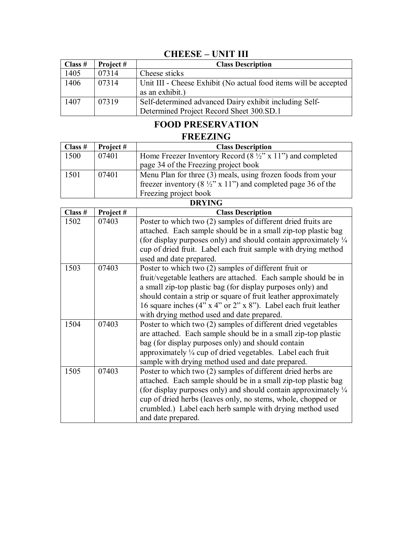## **CHEESE – UNIT III**

| Class $#$ | Project # | <b>Class Description</b>                                                                           |
|-----------|-----------|----------------------------------------------------------------------------------------------------|
| 1405      | 07314     | Cheese sticks                                                                                      |
| 1406      | 07314     | Unit III - Cheese Exhibit (No actual food items will be accepted<br>as an exhibit.)                |
| 1407      | 07319     | Self-determined advanced Dairy exhibit including Self-<br>Determined Project Record Sheet 300.SD.1 |

# **FOOD PRESERVATION**

## **FREEZING**

| Class # | Project # | <b>Class Description</b>                                                 |
|---------|-----------|--------------------------------------------------------------------------|
| 1500    | 07401     | Home Freezer Inventory Record $(8 \frac{1}{2}$ " x 11") and completed    |
|         |           | page 34 of the Freezing project book                                     |
| 1501    | 07401     | Menu Plan for three (3) meals, using frozen foods from your              |
|         |           | freezer inventory (8 $\frac{1}{2}$ " x 11") and completed page 36 of the |
|         |           | Freezing project book                                                    |
| DRVINC  |           |                                                                          |

| IJK Y LINUT |                                                                                       |  |
|-------------|---------------------------------------------------------------------------------------|--|
| Project#    | <b>Class Description</b>                                                              |  |
| 07403       | Poster to which two (2) samples of different dried fruits are                         |  |
|             | attached. Each sample should be in a small zip-top plastic bag                        |  |
|             | (for display purposes only) and should contain approximately $\frac{1}{4}$            |  |
|             | cup of dried fruit. Label each fruit sample with drying method                        |  |
|             | used and date prepared.                                                               |  |
| 07403       | Poster to which two (2) samples of different fruit or                                 |  |
|             | fruit/vegetable leathers are attached. Each sample should be in                       |  |
|             | a small zip-top plastic bag (for display purposes only) and                           |  |
|             | should contain a strip or square of fruit leather approximately                       |  |
|             | 16 square inches $(4" \times 4" \text{ or } 2" \times 8")$ . Label each fruit leather |  |
|             | with drying method used and date prepared.                                            |  |
| 07403       | Poster to which two (2) samples of different dried vegetables                         |  |
|             | are attached. Each sample should be in a small zip-top plastic                        |  |
|             | bag (for display purposes only) and should contain                                    |  |
|             | approximately $\frac{1}{4}$ cup of dried vegetables. Label each fruit                 |  |
|             | sample with drying method used and date prepared.                                     |  |
| 07403       | Poster to which two (2) samples of different dried herbs are                          |  |
|             | attached. Each sample should be in a small zip-top plastic bag                        |  |
|             | (for display purposes only) and should contain approximately $\frac{1}{4}$            |  |
|             | cup of dried herbs (leaves only, no stems, whole, chopped or                          |  |
|             | crumbled.) Label each herb sample with drying method used                             |  |
|             | and date prepared.                                                                    |  |
|             |                                                                                       |  |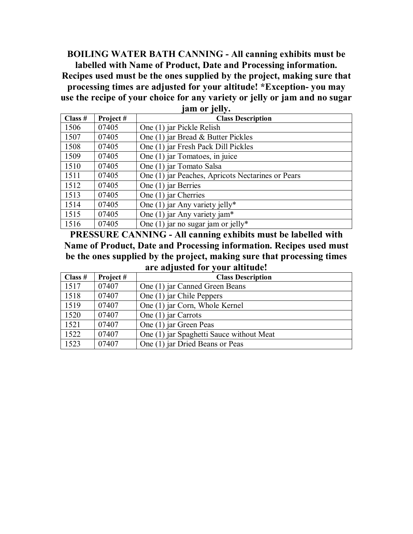**BOILING WATER BATH CANNING - All canning exhibits must be labelled with Name of Product, Date and Processing information. Recipes used must be the ones supplied by the project, making sure that processing times are adjusted for your altitude! \*Exception- you may use the recipe of your choice for any variety or jelly or jam and no sugar jam or jelly.**

|         | <b>THEFT OF TATT</b> |                                                   |  |
|---------|----------------------|---------------------------------------------------|--|
| Class # | Project#             | <b>Class Description</b>                          |  |
| 1506    | 07405                | One (1) jar Pickle Relish                         |  |
| 1507    | 07405                | One (1) jar Bread & Butter Pickles                |  |
| 1508    | 07405                | One (1) jar Fresh Pack Dill Pickles               |  |
| 1509    | 07405                | One (1) jar Tomatoes, in juice                    |  |
| 1510    | 07405                | One (1) jar Tomato Salsa                          |  |
| 1511    | 07405                | One (1) jar Peaches, Apricots Nectarines or Pears |  |
| 1512    | 07405                | One (1) jar Berries                               |  |
| 1513    | 07405                | One $(1)$ jar Cherries                            |  |
| 1514    | 07405                | One (1) jar Any variety jelly*                    |  |
| 1515    | 07405                | One (1) jar Any variety jam*                      |  |
| 1516    | 07405                | One $(1)$ jar no sugar jam or jelly*              |  |

**PRESSURE CANNING - All canning exhibits must be labelled with Name of Product, Date and Processing information. Recipes used must be the ones supplied by the project, making sure that processing times are adjusted for your altitude!**

| Class $#$ | Project# | <b>Class Description</b>                 |
|-----------|----------|------------------------------------------|
| 1517      | 07407    | One (1) jar Canned Green Beans           |
| 1518      | 07407    | One (1) jar Chile Peppers                |
| 1519      | 07407    | One (1) jar Corn, Whole Kernel           |
| 1520      | 07407    | One (1) jar Carrots                      |
| 1521      | 07407    | One (1) jar Green Peas                   |
| 1522      | 07407    | One (1) jar Spaghetti Sauce without Meat |
| 1523      | 07407    | One (1) jar Dried Beans or Peas          |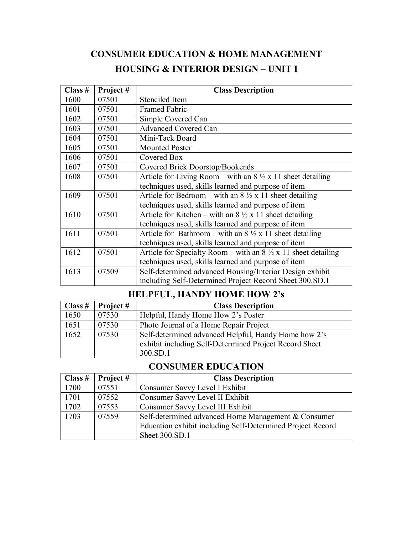# **CONSUMER EDUCATION & HOME MANAGEMENT HOUSING & INTERIOR DESIGN – UNIT I**

| Class $#$ | Project# | <b>Class Description</b>                                                      |
|-----------|----------|-------------------------------------------------------------------------------|
| 1600      | 07501    | <b>Stenciled Item</b>                                                         |
| 1601      | 07501    | <b>Framed Fabric</b>                                                          |
| 1602      | 07501    | Simple Covered Can                                                            |
| 1603      | 07501    | <b>Advanced Covered Can</b>                                                   |
| 1604      | 07501    | Mini-Tack Board                                                               |
| 1605      | 07501    | <b>Mounted Poster</b>                                                         |
| 1606      | 07501    | Covered Box                                                                   |
| 1607      | 07501    | Covered Brick Doorstop/Bookends                                               |
| 1608      | 07501    | Article for Living Room – with an $8\frac{1}{2}$ x 11 sheet detailing         |
|           |          | techniques used, skills learned and purpose of item                           |
| 1609      | 07501    | Article for Bedroom – with an $8\frac{1}{2} \times 11$ sheet detailing        |
|           |          | techniques used, skills learned and purpose of item                           |
| 1610      | 07501    | Article for Kitchen – with an $8\frac{1}{2} \times 11$ sheet detailing        |
|           |          | techniques used, skills learned and purpose of item                           |
| 1611      | 07501    | Article for Bathroom – with an $8\frac{1}{2}$ x 11 sheet detailing            |
|           |          | techniques used, skills learned and purpose of item                           |
| 1612      | 07501    | Article for Specialty Room – with an $8\frac{1}{2} \times 11$ sheet detailing |
|           |          | techniques used, skills learned and purpose of item                           |
| 1613      | 07509    | Self-determined advanced Housing/Interior Design exhibit                      |
|           |          | including Self-Determined Project Record Sheet 300.SD.1                       |

# **HELPFUL, HANDY HOME HOW 2's**

| Class # | Project # | <b>Class Description</b>                               |
|---------|-----------|--------------------------------------------------------|
| 1650    | 07530     | Helpful, Handy Home How 2's Poster                     |
| 1651    | 07530     | Photo Journal of a Home Repair Project                 |
| 1652    | 07530     | Self-determined advanced Helpful, Handy Home how 2's   |
|         |           | exhibit including Self-Determined Project Record Sheet |
|         |           | 300.SD.1                                               |

## **CONSUMER EDUCATION**

| Class # | Project # | <b>Class Description</b>                                   |
|---------|-----------|------------------------------------------------------------|
| 1700    | 07551     | Consumer Savvy Level I Exhibit                             |
| 1701    | 07552     | Consumer Savvy Level II Exhibit                            |
| 1702    | 07553     | Consumer Savvy Level III Exhibit                           |
| 1703    | 07559     | Self-determined advanced Home Management & Consumer        |
|         |           | Education exhibit including Self-Determined Project Record |
|         |           | Sheet 300.SD.1                                             |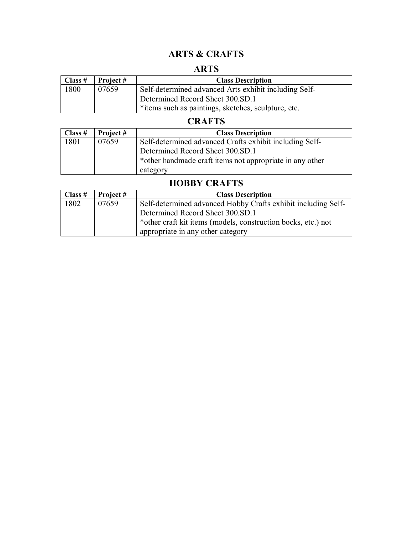## **ARTS & CRAFTS**

## **ARTS**

| Class $#$ | Project # | <b>Class Description</b>                              |
|-----------|-----------|-------------------------------------------------------|
| 1800      | 07659     | Self-determined advanced Arts exhibit including Self- |
|           |           | Determined Record Sheet 300.SD.1                      |
|           |           | *items such as paintings, sketches, sculpture, etc.   |

## **CRAFTS**

| Class # | Project # | <b>Class Description</b>                                 |
|---------|-----------|----------------------------------------------------------|
| 1801    | 07659     | Self-determined advanced Crafts exhibit including Self-  |
|         |           | Determined Record Sheet 300.SD.1                         |
|         |           | *other handmade craft items not appropriate in any other |
|         |           | category                                                 |

## **HOBBY CRAFTS**

| Class $#$ | <b>Project</b> # | <b>Class Description</b>                                      |
|-----------|------------------|---------------------------------------------------------------|
| 1802      | 07659            | Self-determined advanced Hobby Crafts exhibit including Self- |
|           |                  | Determined Record Sheet 300.SD.1                              |
|           |                  | *other craft kit items (models, construction bocks, etc.) not |
|           |                  | appropriate in any other category                             |